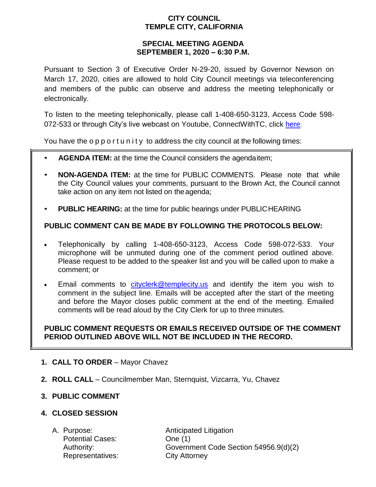### **CITY COUNCIL TEMPLE CITY, CALIFORNIA**

### **SPECIAL MEETING AGENDA SEPTEMBER 1, 2020 – 6:30 P.M.**

Pursuant to Section 3 of Executive Order N-29-20, issued by Governor Newson on March 17, 2020, cities are allowed to hold City Council meetings via teleconferencing and members of the public can observe and address the meeting telephonically or electronically.

To listen to the meeting telephonically, please call 1-408-650-3123, Access Code 598 072-533 or through City's live webcast on Youtube, ConnectWithTC, click [here.](https://www.ci.temple-city.ca.us/516/Meeting-Webcast)

You have the opport unity to address the city council at the following times:

- **AGENDA ITEM:** at the time the Council considers the agendaitem;
- **NON-AGENDA ITEM:** at the time for PUBLIC COMMENTS. Please note that while the City Council values your comments, pursuant to the Brown Act, the Council cannot take action on any item not listed on the agenda;
- **PUBLIC HEARING:** at the time for public hearings under PUBLICHEARING

# **PUBLIC COMMENT CAN BE MADE BY FOLLOWING THE PROTOCOLS BELOW:**

- Telephonically by calling 1-408-650-3123, Access Code 598-072-533. Your microphone will be unmuted during one of the comment period outlined above. Please request to be added to the speaker list and you will be called upon to make a comment; or
- Email comments to [cityclerk@templecity.us](mailto:cityclerk@templecity.us) and identify the item you wish to comment in the subject line. Emails will be accepted after the start of the meeting and before the Mayor closes public comment at the end of the meeting. Emailed comments will be read aloud by the City Clerk for up to three minutes.

### **PUBLIC COMMENT REQUESTS OR EMAILS RECEIVED OUTSIDE OF THE COMMENT PERIOD OUTLINED ABOVE WILL NOT BE INCLUDED IN THE RECORD.**

- **1. CALL TO ORDER**  Mayor Chavez
- **2. ROLL CALL**  Councilmember Man, Sternquist, Vizcarra, Yu, Chavez

# **3. PUBLIC COMMENT**

### **4. CLOSED SESSION**

Potential Cases: One (1) Representatives: City Attorney

A. Purpose: **Anticipated Litigation** Authority: Government Code Section 54956.9(d)(2)